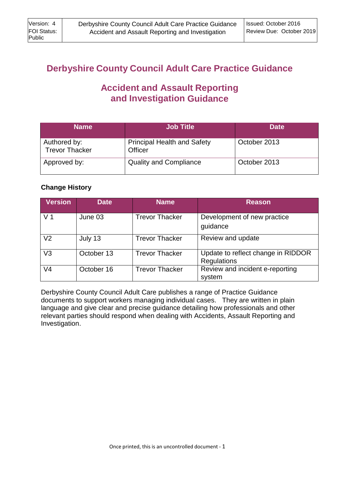# **Derbyshire County Council Adult Care Practice Guidance**

# **Accident and Assault Reporting and Investigation Guidance**

| <b>Name</b>                           | <b>Job Title</b>                              | <b>Date</b>  |
|---------------------------------------|-----------------------------------------------|--------------|
| Authored by:<br><b>Trevor Thacker</b> | <b>Principal Health and Safety</b><br>Officer | October 2013 |
| Approved by:                          | <b>Quality and Compliance</b>                 | October 2013 |

# **Change History**

| <b>Version</b> | <b>Date</b> | <b>Name</b>           | <b>Reason</b>                                            |
|----------------|-------------|-----------------------|----------------------------------------------------------|
| V <sub>1</sub> | June 03     | <b>Trevor Thacker</b> | Development of new practice<br>guidance                  |
| V <sub>2</sub> | July 13     | <b>Trevor Thacker</b> | Review and update                                        |
| V3             | October 13  | <b>Trevor Thacker</b> | Update to reflect change in RIDDOR<br><b>Regulations</b> |
| V4             | October 16  | <b>Trevor Thacker</b> | Review and incident e-reporting<br>system                |

Derbyshire County Council Adult Care publishes a range of Practice Guidance documents to support workers managing individual cases. They are written in plain language and give clear and precise guidance detailing how professionals and other relevant parties should respond when dealing with Accidents, Assault Reporting and Investigation.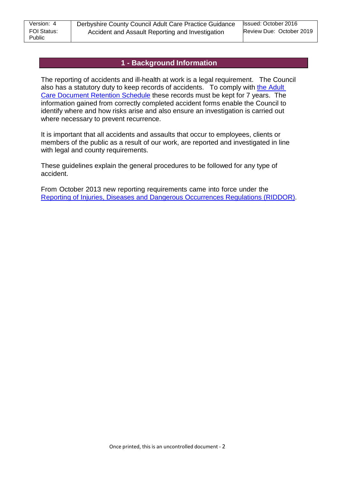## **1 - Background Information**

The reporting of accidents and ill-health at work is a legal requirement. The Council also has a statutory duty to keep records of accidents. To comply with the [Adult](http://dnet/policies_and_procedures/older_adults/adult_care/all/infogovernance/records_management/default.asp)  Care [Document](http://dnet/policies_and_procedures/older_adults/adult_care/all/infogovernance/records_management/default.asp) Retention Schedule these records must be kept for 7 years. The information gained from correctly completed accident forms enable the Council to identify where and how risks arise and also ensure an investigation is carried out where necessary to prevent recurrence.

It is important that all accidents and assaults that occur to employees, clients or members of the public as a result of our work, are reported and investigated in line with legal and county requirements.

These guidelines explain the general procedures to be followed for any type of accident.

From October 2013 new reporting requirements came into force under the Reporting of Injuries, Diseases and [Dangerous Occurrences Regulations \(RIDDOR\).](http://www.legislation.gov.uk/UKSI/2013/1471/contents/made)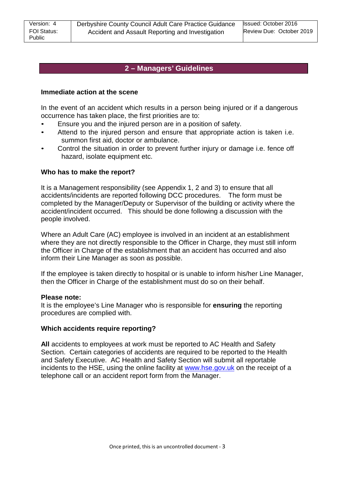# **2 – Managers' Guidelines**

#### **Immediate action at the scene**

In the event of an accident which results in a person being injured or if a dangerous occurrence has taken place, the first priorities are to:

- Ensure you and the injured person are in a position of safety.
- Attend to the injured person and ensure that appropriate action is taken i.e. summon first aid, doctor or ambulance.
- Control the situation in order to prevent further injury or damage i.e. fence off hazard, isolate equipment etc.

#### **Who has to make the report?**

It is a Management responsibility (see Appendix 1, 2 and 3) to ensure that all accidents/incidents are reported following DCC procedures. The form must be completed by the Manager/Deputy or Supervisor of the building or activity where the accident/incident occurred. This should be done following a discussion with the people involved.

Where an Adult Care (AC) employee is involved in an incident at an establishment where they are not directly responsible to the Officer in Charge, they must still inform the Officer in Charge of the establishment that an accident has occurred and also inform their Line Manager as soon as possible.

If the employee is taken directly to hospital or is unable to inform his/her Line Manager, then the Officer in Charge of the establishment must do so on their behalf.

#### **Please note:**

It is the employee's Line Manager who is responsible for **ensuring** the reporting procedures are complied with.

#### **Which accidents require reporting?**

**All** accidents to employees at work must be reported to AC Health and Safety Section. Certain categories of accidents are required to be reported to the Health and Safety Executive. AC Health and Safety Section will submit all reportable incidents to the HSE, using the online facility at [www.hse.gov.uk](http://www.hse.gov.uk/) on the receipt of a telephone call or an accident report form from the Manager.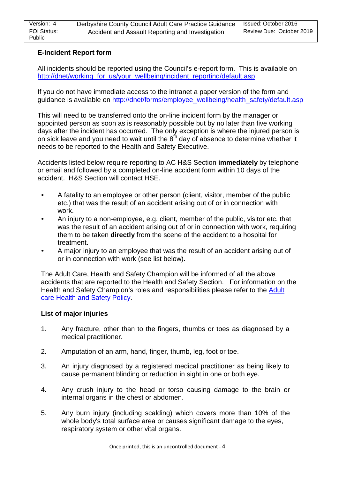### **E-Incident Report form**

All incidents should be reported using the Council's e-report form. This is available on [http://dnet/working\\_for\\_us/your\\_wellbeing/incident\\_reporting/default.asp](http://dnet/working_for_us/your_wellbeing/incident_reporting/default.asp)

If you do not have immediate access to the intranet a paper version of the form and guidance is available on [http://dnet/forms/employee\\_wellbeing/health\\_safety/default.asp](http://dnet/forms/employee_wellbeing/health_safety/default.asp)

This will need to be transferred onto the on-line incident form by the manager or appointed person as soon as is reasonably possible but by no later than five working days after the incident has occurred. The only exception is where the injured person is on sick leave and you need to wait until the  $8<sup>th</sup>$  day of absence to determine whether it needs to be reported to the Health and Safety Executive.

Accidents listed below require reporting to AC H&S Section **immediately** by telephone or email and followed by a completed on-line accident form within 10 days of the accident. H&S Section will contact HSE.

- A fatality to an employee or other person (client, visitor, member of the public etc.) that was the result of an accident arising out of or in connection with work.
- An injury to a non-employee, e.g. client, member of the public, visitor etc. that was the result of an accident arising out of or in connection with work, requiring them to be taken **directly** from the scene of the accident to a hospital for treatment.
- A major injury to an employee that was the result of an accident arising out of or in connection with work (see list below).

The Adult Care, Health and Safety Champion will be informed of all the above accidents that are reported to the Health and Safety Section. For information on the Health and Safety Champion's roles and responsibilities please refer to the [Adult](http://dnet/policies_and_procedures/older_adults/adult_care/all/hands/default.asp) care [Health](http://dnet/policies_and_procedures/older_adults/adult_care/all/hands/default.asp) and Safety Policy.

#### **List of major injuries**

- 1. Any fracture, other than to the fingers, thumbs or toes as diagnosed by a medical practitioner.
- 2. Amputation of an arm, hand, finger, thumb, leg, foot or toe.
- 3. An injury diagnosed by a registered medical practitioner as being likely to cause permanent blinding or reduction in sight in one or both eye.
- 4. Any crush injury to the head or torso causing damage to the brain or internal organs in the chest or abdomen.
- 5. Any burn injury (including scalding) which covers more than 10% of the whole body's total surface area or causes significant damage to the eyes, respiratory system or other vital organs.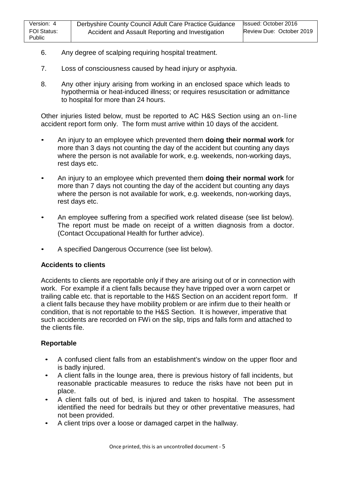- 6. Any degree of scalping requiring hospital treatment.
- 7. Loss of consciousness caused by head injury or asphyxia.
- 8. Any other injury arising from working in an enclosed space which leads to hypothermia or heat-induced illness; or requires resuscitation or admittance to hospital for more than 24 hours.

Other injuries listed below, must be reported to AC H&S Section using an on-line accident report form only. The form must arrive within 10 days of the accident.

- An injury to an employee which prevented them **doing their normal work** for more than 3 days not counting the day of the accident but counting any days where the person is not available for work, e.g. weekends, non-working days, rest days etc.
- An injury to an employee which prevented them **doing their normal work** for more than 7 days not counting the day of the accident but counting any days where the person is not available for work, e.g. weekends, non-working days, rest days etc.
- An employee suffering from a specified work related disease (see list below). The report must be made on receipt of a written diagnosis from a doctor. (Contact Occupational Health for further advice).
- A specified Dangerous Occurrence (see list below).

#### **Accidents to clients**

Accidents to clients are reportable only if they are arising out of or in connection with work. For example if a client falls because they have tripped over a worn carpet or trailing cable etc. that is reportable to the H&S Section on an accident report form. If a client falls because they have mobility problem or are infirm due to their health or condition, that is not reportable to the H&S Section. It is however, imperative that such accidents are recorded on FWi on the slip, trips and falls form and attached to the clients file.

### **Reportable**

- A confused client falls from an establishment's window on the upper floor and is badly injured.
- A client falls in the lounge area, there is previous history of fall incidents, but reasonable practicable measures to reduce the risks have not been put in place.
- A client falls out of bed, is injured and taken to hospital. The assessment identified the need for bedrails but they or other preventative measures, had not been provided.
- A client trips over a loose or damaged carpet in the hallway.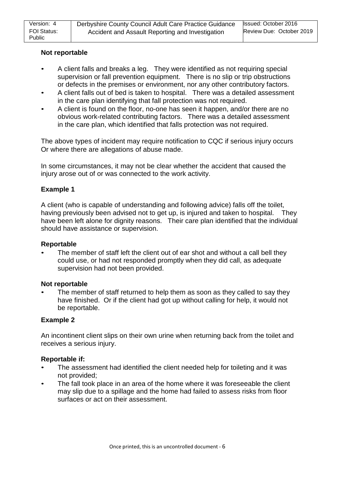### **Not reportable**

- A client falls and breaks a leg. They were identified as not requiring special supervision or fall prevention equipment. There is no slip or trip obstructions or defects in the premises or environment, nor any other contributory factors.
- A client falls out of bed is taken to hospital. There was a detailed assessment in the care plan identifying that fall protection was not required.
- A client is found on the floor, no-one has seen it happen, and/or there are no obvious work-related contributing factors. There was a detailed assessment in the care plan, which identified that falls protection was not required.

The above types of incident may require notification to CQC if serious injury occurs Or where there are allegations of abuse made.

In some circumstances, it may not be clear whether the accident that caused the injury arose out of or was connected to the work activity.

### **Example 1**

A client (who is capable of understanding and following advice) falls off the toilet, having previously been advised not to get up, is injured and taken to hospital. They have been left alone for dignity reasons. Their care plan identified that the individual should have assistance or supervision.

#### **Reportable**

The member of staff left the client out of ear shot and without a call bell they could use, or had not responded promptly when they did call, as adequate supervision had not been provided.

#### **Not reportable**

The member of staff returned to help them as soon as they called to say they have finished. Or if the client had got up without calling for help, it would not be reportable.

#### **Example 2**

An incontinent client slips on their own urine when returning back from the toilet and receives a serious injury.

#### **Reportable if:**

- The assessment had identified the client needed help for toileting and it was not provided;
- The fall took place in an area of the home where it was foreseeable the client may slip due to a spillage and the home had failed to assess risks from floor surfaces or act on their assessment.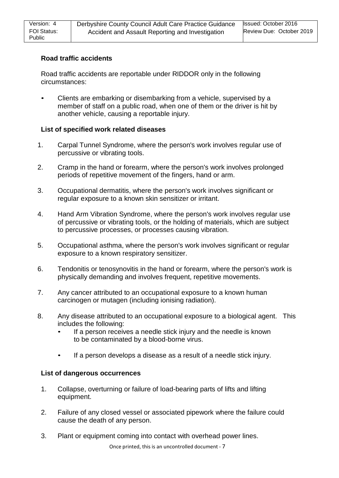# **Road traffic accidents**

Road traffic accidents are reportable under RIDDOR only in the following circumstances:

• Clients are embarking or disembarking from a vehicle, supervised by a member of staff on a public road, when one of them or the driver is hit by another vehicle, causing a reportable injury.

### **List of specified work related diseases**

- 1. Carpal Tunnel Syndrome, where the person's work involves regular use of percussive or vibrating tools.
- 2. Cramp in the hand or forearm, where the person's work involves prolonged periods of repetitive movement of the fingers, hand or arm.
- 3. Occupational dermatitis, where the person's work involves significant or regular exposure to a known skin sensitizer or irritant.
- 4. Hand Arm Vibration Syndrome, where the person's work involves regular use of percussive or vibrating tools, or the holding of materials, which are subject to percussive processes, or processes causing vibration.
- 5. Occupational asthma, where the person's work involves significant or regular exposure to a known respiratory sensitizer.
- 6. Tendonitis or tenosynovitis in the hand or forearm, where the person's work is physically demanding and involves frequent, repetitive movements.
- 7. Any cancer attributed to an occupational exposure to a known human carcinogen or mutagen (including ionising radiation).
- 8. Any disease attributed to an occupational exposure to a biological agent. This includes the following:
	- If a person receives a needle stick injury and the needle is known to be contaminated by a blood-borne virus.
	- If a person develops a disease as a result of a needle stick injury.

### **List of dangerous occurrences**

- 1. Collapse, overturning or failure of load-bearing parts of lifts and lifting equipment.
- 2. Failure of any closed vessel or associated pipework where the failure could cause the death of any person.
- 3. Plant or equipment coming into contact with overhead power lines.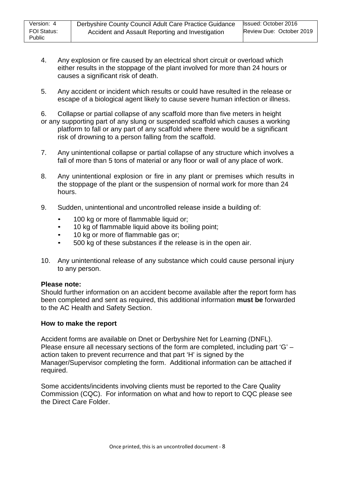- 4. Any explosion or fire caused by an electrical short circuit or overload which either results in the stoppage of the plant involved for more than 24 hours or causes a significant risk of death.
- 5. Any accident or incident which results or could have resulted in the release or escape of a biological agent likely to cause severe human infection or illness.

6. Collapse or partial collapse of any scaffold more than five meters in height or any supporting part of any slung or suspended scaffold which causes a working platform to fall or any part of any scaffold where there would be a significant risk of drowning to a person falling from the scaffold.

- 7. Any unintentional collapse or partial collapse of any structure which involves a fall of more than 5 tons of material or any floor or wall of any place of work.
- 8. Any unintentional explosion or fire in any plant or premises which results in the stoppage of the plant or the suspension of normal work for more than 24 hours.
- 9. Sudden, unintentional and uncontrolled release inside a building of:
	- 100 kg or more of flammable liquid or;
	- 10 kg of flammable liquid above its boiling point;
	- 10 kg or more of flammable gas or;
	- 500 kg of these substances if the release is in the open air.
- 10. Any unintentional release of any substance which could cause personal injury to any person.

### **Please note:**

Should further information on an accident become available after the report form has been completed and sent as required, this additional information **must be** forwarded to the AC Health and Safety Section.

### **How to make the report**

Accident forms are available on Dnet or Derbyshire Net for Learning (DNFL). Please ensure all necessary sections of the form are completed, including part 'G' – action taken to prevent recurrence and that part 'H' is signed by the Manager/Supervisor completing the form. Additional information can be attached if required.

Some accidents/incidents involving clients must be reported to the Care Quality Commission (CQC). For information on what and how to report to CQC please see the Direct Care Folder.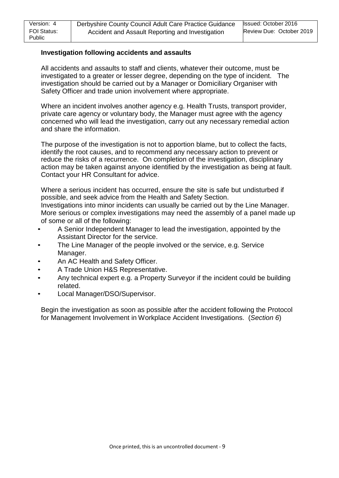### **Investigation following accidents and assaults**

All accidents and assaults to staff and clients, whatever their outcome, must be investigated to a greater or lesser degree, depending on the type of incident. The investigation should be carried out by a Manager or Domiciliary Organiser with Safety Officer and trade union involvement where appropriate.

Where an incident involves another agency e.g. Health Trusts, transport provider, private care agency or voluntary body, the Manager must agree with the agency concerned who will lead the investigation, carry out any necessary remedial action and share the information.

The purpose of the investigation is not to apportion blame, but to collect the facts, identify the root causes, and to recommend any necessary action to prevent or reduce the risks of a recurrence. On completion of the investigation, disciplinary action may be taken against anyone identified by the investigation as being at fault. Contact your HR Consultant for advice.

Where a serious incident has occurred, ensure the site is safe but undisturbed if possible, and seek advice from the Health and Safety Section. Investigations into minor incidents can usually be carried out by the Line Manager. More serious or complex investigations may need the assembly of a panel made up of some or all of the following:

- A Senior Independent Manager to lead the investigation, appointed by the Assistant Director for the service.
- The Line Manager of the people involved or the service, e.g. Service Manager.
- An AC Health and Safety Officer.
- A Trade Union H&S Representative.
- Any technical expert e.g. a Property Surveyor if the incident could be building related.
- Local Manager/DSO/Supervisor.

Begin the investigation as soon as possible after the accident following the Protocol for Management Involvement in Workplace Accident Investigations. (*Section 6*)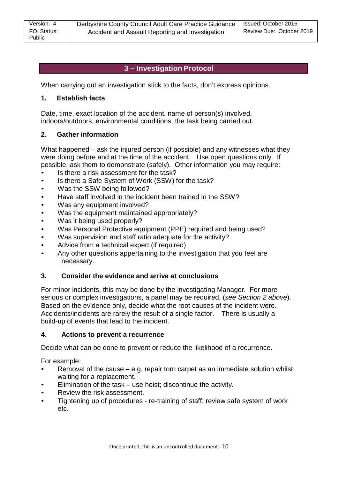# **3 – Investigation Protocol**

When carrying out an investigation stick to the facts, don't express opinions.

### **1. Establish facts**

Date, time, exact location of the accident, name of person(s) involved, indoors/outdoors, environmental conditions, the task being carried out.

### **2. Gather information**

What happened – ask the injured person (if possible) and any witnesses what they were doing before and at the time of the accident. Use open questions only. If possible, ask them to demonstrate (safely). Other information you may require:

- Is there a risk assessment for the task?
- Is there a Safe System of Work (SSW) for the task?
- Was the SSW being followed?
- Have staff involved in the incident been trained in the SSW?
- Was any equipment involved?
- Was the equipment maintained appropriately?
- Was it being used properly?
- Was Personal Protective equipment (PPE) required and being used?
- Was supervision and staff ratio adequate for the activity?
- Advice from a technical expert (if required)
- Any other questions appertaining to the investigation that you feel are necessary.

#### **3. Consider the evidence and arrive at conclusions**

For minor incidents, this may be done by the investigating Manager. For more serious or complex investigations, a panel may be required, (*see Section 2 above*). Based on the evidence only, decide what the root causes of the incident were. Accidents/incidents are rarely the result of a single factor. There is usually a build-up of events that lead to the incident.

#### **4. Actions to prevent a recurrence**

Decide what can be done to prevent or reduce the likelihood of a recurrence.

For example:

- Removal of the cause e.g. repair torn carpet as an immediate solution whilst waiting for a replacement.
- Elimination of the task use hoist; discontinue the activity.
- Review the risk assessment.
- Tightening up of procedures re-training of staff; review safe system of work etc.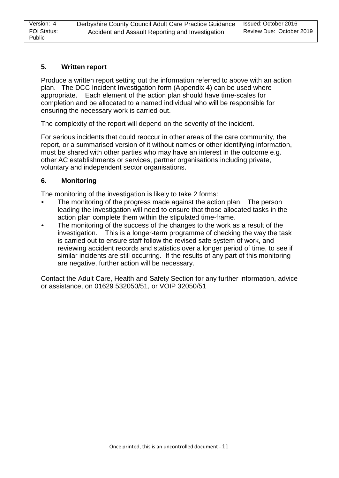### **5. Written report**

Produce a written report setting out the information referred to above with an action plan. The DCC Incident Investigation form (Appendix 4) can be used where appropriate. Each element of the action plan should have time-scales for completion and be allocated to a named individual who will be responsible for ensuring the necessary work is carried out.

The complexity of the report will depend on the severity of the incident.

For serious incidents that could reoccur in other areas of the care community, the report, or a summarised version of it without names or other identifying information, must be shared with other parties who may have an interest in the outcome e.g. other AC establishments or services, partner organisations including private, voluntary and independent sector organisations.

### **6. Monitoring**

The monitoring of the investigation is likely to take 2 forms:

- The monitoring of the progress made against the action plan. The person leading the investigation will need to ensure that those allocated tasks in the action plan complete them within the stipulated time-frame.
- The monitoring of the success of the changes to the work as a result of the investigation. This is a longer-term programme of checking the way the task is carried out to ensure staff follow the revised safe system of work, and reviewing accident records and statistics over a longer period of time, to see if similar incidents are still occurring. If the results of any part of this monitoring are negative, further action will be necessary.

Contact the Adult Care, Health and Safety Section for any further information, advice or assistance, on 01629 532050/51, or VOIP 32050/51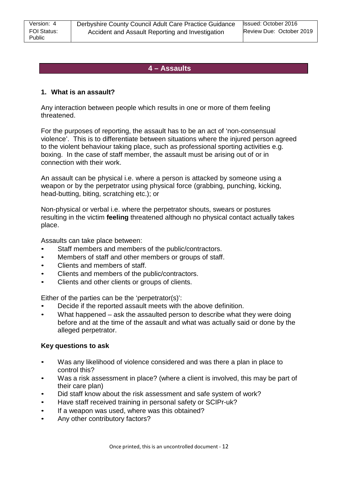# **4 – Assaults**

### **1. What is an assault?**

Any interaction between people which results in one or more of them feeling threatened.

For the purposes of reporting, the assault has to be an act of 'non-consensual violence'. This is to differentiate between situations where the injured person agreed to the violent behaviour taking place, such as professional sporting activities e.g. boxing. In the case of staff member, the assault must be arising out of or in connection with their work.

An assault can be physical i.e. where a person is attacked by someone using a weapon or by the perpetrator using physical force (grabbing, punching, kicking, head-butting, biting, scratching etc.); or

Non-physical or verbal i.e. where the perpetrator shouts, swears or postures resulting in the victim **feeling** threatened although no physical contact actually takes place.

Assaults can take place between:

- Staff members and members of the public/contractors.
- Members of staff and other members or groups of staff.
- Clients and members of staff.
- Clients and members of the public/contractors.
- Clients and other clients or groups of clients.

Either of the parties can be the 'perpetrator(s)':

- Decide if the reported assault meets with the above definition.
- What happened ask the assaulted person to describe what they were doing before and at the time of the assault and what was actually said or done by the alleged perpetrator.

# **Key questions to ask**

- Was any likelihood of violence considered and was there a plan in place to control this?
- Was a risk assessment in place? (where a client is involved, this may be part of their care plan)
- Did staff know about the risk assessment and safe system of work?
- Have staff received training in personal safety or SCIPr-uk?
- If a weapon was used, where was this obtained?
- Any other contributory factors?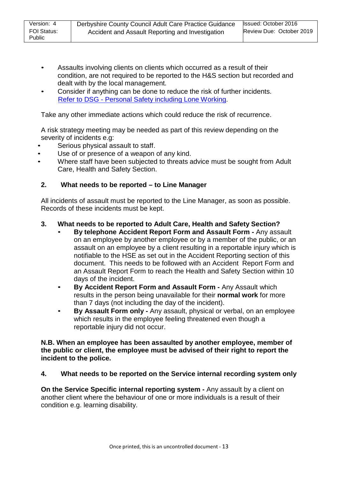- Assaults involving clients on clients which occurred as a result of their condition, are not required to be reported to the H&S section but recorded and dealt with by the local management.
- Consider if anything can be done to reduce the risk of further incidents. Refer to DSG - Personal Safety [including](http://dnet/policies_and_procedures/older_adults/adult_care/all/hands/default.asp) Lone Working.

Take any other immediate actions which could reduce the risk of recurrence.

A risk strategy meeting may be needed as part of this review depending on the severity of incidents e.g:

- Serious physical assault to staff.
- Use of or presence of a weapon of any kind.
- Where staff have been subjected to threats advice must be sought from Adult Care, Health and Safety Section.

## **2. What needs to be reported – to Line Manager**

All incidents of assault must be reported to the Line Manager, as soon as possible. Records of these incidents must be kept.

## **3. What needs to be reported to Adult Care, Health and Safety Section?**

- **By telephone Accident Report Form and Assault Form -** Any assault on an employee by another employee or by a member of the public, or an assault on an employee by a client resulting in a reportable injury which is notifiable to the HSE as set out in the Accident Reporting section of this document. This needs to be followed with an Accident Report Form and an Assault Report Form to reach the Health and Safety Section within 10 days of the incident.
- **By Accident Report Form and Assault Form -** Any Assault which results in the person being unavailable for their **normal work** for more than 7 days (not including the day of the incident).
- **By Assault Form only -** Any assault, physical or verbal, on an employee which results in the employee feeling threatened even though a reportable injury did not occur.

### **N.B. When an employee has been assaulted by another employee, member of the public or client, the employee must be advised of their right to report the incident to the police.**

### **4. What needs to be reported on the Service internal recording system only**

**On the Service Specific internal reporting system -** Any assault by a client on another client where the behaviour of one or more individuals is a result of their condition e.g. learning disability.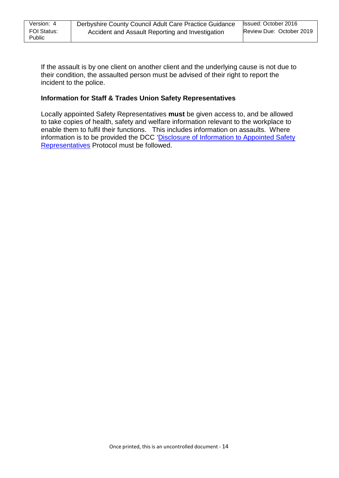If the assault is by one client on another client and the underlying cause is not due to their condition, the assaulted person must be advised of their right to report the incident to the police.

### **Information for Staff & Trades Union Safety Representatives**

Locally appointed Safety Representatives **must** be given access to, and be allowed to take copies of health, safety and welfare information relevant to the workplace to enable them to fulfil their functions. This includes information on assaults. Where information is to be provided the [DCC 'Disclosure](http://dnet/forms/caya/health_and_safety/default.asp) of Information to Appointed Safety [Representatives](http://dnet/forms/caya/health_and_safety/default.asp) Protocol must be followed.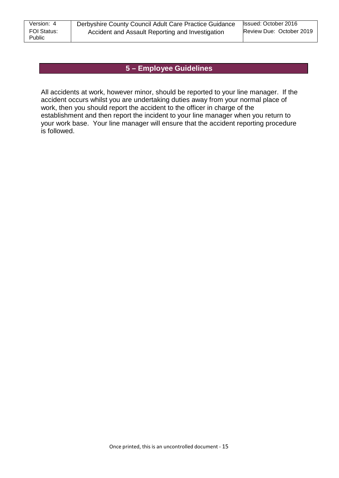# **5 – Employee Guidelines**

All accidents at work, however minor, should be reported to your line manager. If the accident occurs whilst you are undertaking duties away from your normal place of work, then you should report the accident to the officer in charge of the establishment and then report the incident to your line manager when you return to your work base. Your line manager will ensure that the accident reporting procedure is followed.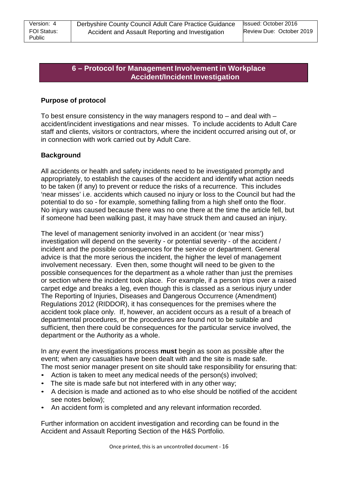# **6 – Protocol for Management Involvement in Workplace Accident/Incident Investigation**

## **Purpose of protocol**

To best ensure consistency in the way managers respond to  $-$  and deal with  $$ accident/incident investigations and near misses. To include accidents to Adult Care staff and clients, visitors or contractors, where the incident occurred arising out of, or in connection with work carried out by Adult Care.

## **Background**

All accidents or health and safety incidents need to be investigated promptly and appropriately, to establish the causes of the accident and identify what action needs to be taken (if any) to prevent or reduce the risks of a recurrence. This includes 'near misses' i.e. accidents which caused no injury or loss to the Council but had the potential to do so - for example, something falling from a high shelf onto the floor. No injury was caused because there was no one there at the time the article fell, but if someone had been walking past, it may have struck them and caused an injury.

The level of management seniority involved in an accident (or 'near miss') investigation will depend on the severity - or potential severity - of the accident / incident and the possible consequences for the service or department. General advice is that the more serious the incident, the higher the level of management involvement necessary. Even then, some thought will need to be given to the possible consequences for the department as a whole rather than just the premises or section where the incident took place. For example, if a person trips over a raised carpet edge and breaks a leg, even though this is classed as a serious injury under The Reporting of Injuries, Diseases and Dangerous Occurrence (Amendment) Regulations 2012 (RIDDOR), it has consequences for the premises where the accident took place only. If, however, an accident occurs as a result of a breach of departmental procedures, or the procedures are found not to be suitable and sufficient, then there could be consequences for the particular service involved, the department or the Authority as a whole.

In any event the investigations process **must** begin as soon as possible after the event; when any casualties have been dealt with and the site is made safe. The most senior manager present on site should take responsibility for ensuring that:

- Action is taken to meet any medical needs of the person(s) involved;
- The site is made safe but not interfered with in any other way;
- A decision is made and actioned as to who else should be notified of the accident see notes below);
- An accident form is completed and any relevant information recorded.

Further information on accident investigation and recording can be found in the Accident and Assault Reporting Section of the H&S Portfolio.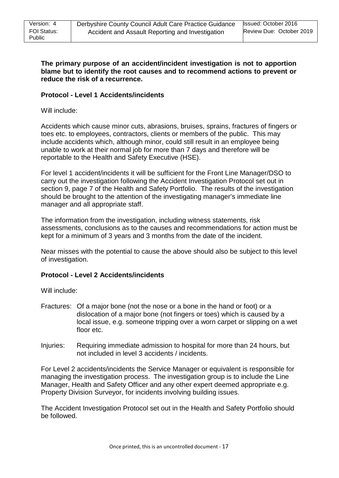### **The primary purpose of an accident/incident investigation is not to apportion blame but to identify the root causes and to recommend actions to prevent or reduce the risk of a recurrence.**

## **Protocol - Level 1 Accidents/incidents**

Will include:

Accidents which cause minor cuts, abrasions, bruises, sprains, fractures of fingers or toes etc. to employees, contractors, clients or members of the public. This may include accidents which, although minor, could still result in an employee being unable to work at their normal job for more than 7 days and therefore will be reportable to the Health and Safety Executive (HSE).

For level 1 accident/incidents it will be sufficient for the Front Line Manager/DSO to carry out the investigation following the Accident Investigation Protocol set out in section 9, page 7 of the Health and Safety Portfolio. The results of the investigation should be brought to the attention of the investigating manager's immediate line manager and all appropriate staff.

The information from the investigation, including witness statements, risk assessments, conclusions as to the causes and recommendations for action must be kept for a minimum of 3 years and 3 months from the date of the incident.

Near misses with the potential to cause the above should also be subject to this level of investigation.

### **Protocol - Level 2 Accidents/incidents**

Will include:

- Fractures: Of a major bone (not the nose or a bone in the hand or foot) or a dislocation of a major bone (not fingers or toes) which is caused by a local issue, e.g. someone tripping over a worn carpet or slipping on a wet floor etc.
- Injuries: Requiring immediate admission to hospital for more than 24 hours, but not included in level 3 accidents / incidents.

For Level 2 accidents/incidents the Service Manager or equivalent is responsible for managing the investigation process. The investigation group is to include the Line Manager, Health and Safety Officer and any other expert deemed appropriate e.g. Property Division Surveyor, for incidents involving building issues.

The Accident Investigation Protocol set out in the Health and Safety Portfolio should be followed.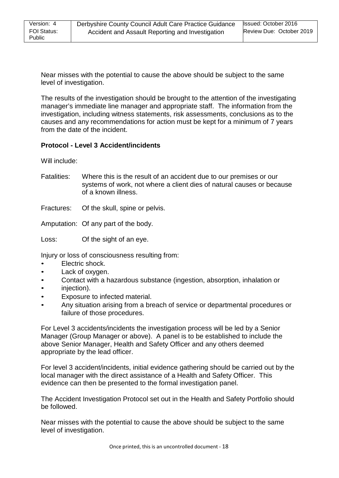Near misses with the potential to cause the above should be subject to the same level of investigation.

The results of the investigation should be brought to the attention of the investigating manager's immediate line manager and appropriate staff. The information from the investigation, including witness statements, risk assessments, conclusions as to the causes and any recommendations for action must be kept for a minimum of 7 years from the date of the incident.

## **Protocol - Level 3 Accident/incidents**

Will include:

Fatalities: Where this is the result of an accident due to our premises or our systems of work, not where a client dies of natural causes or because of a known illness.

Fractures: Of the skull, spine or pelvis.

Amputation: Of any part of the body.

Loss: Of the sight of an eye.

Injury or loss of consciousness resulting from:

- Electric shock.
- Lack of oxygen.
- Contact with a hazardous substance (ingestion, absorption, inhalation or
- injection).
- Exposure to infected material.
- Any situation arising from a breach of service or departmental procedures or failure of those procedures.

For Level 3 accidents/incidents the investigation process will be led by a Senior Manager (Group Manager or above). A panel is to be established to include the above Senior Manager, Health and Safety Officer and any others deemed appropriate by the lead officer.

For level 3 accident/incidents, initial evidence gathering should be carried out by the local manager with the direct assistance of a Health and Safety Officer. This evidence can then be presented to the formal investigation panel.

The Accident Investigation Protocol set out in the Health and Safety Portfolio should be followed.

Near misses with the potential to cause the above should be subject to the same level of investigation.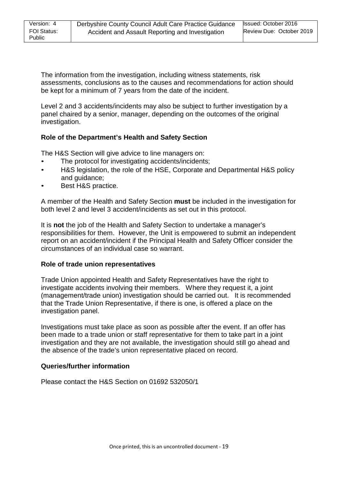The information from the investigation, including witness statements, risk assessments, conclusions as to the causes and recommendations for action should be kept for a minimum of 7 years from the date of the incident.

Level 2 and 3 accidents/incidents may also be subject to further investigation by a panel chaired by a senior, manager, depending on the outcomes of the original investigation.

## **Role of the Department's Health and Safety Section**

The H&S Section will give advice to line managers on:

- The protocol for investigating accidents/incidents;
- H&S legislation, the role of the HSE, Corporate and Departmental H&S policy and guidance;
- Best H&S practice.

A member of the Health and Safety Section **must** be included in the investigation for both level 2 and level 3 accident/incidents as set out in this protocol.

It is **not** the job of the Health and Safety Section to undertake a manager's responsibilities for them. However, the Unit is empowered to submit an independent report on an accident/incident if the Principal Health and Safety Officer consider the circumstances of an individual case so warrant.

#### **Role of trade union representatives**

Trade Union appointed Health and Safety Representatives have the right to investigate accidents involving their members. Where they request it, a joint (management/trade union) investigation should be carried out. It is recommended that the Trade Union Representative, if there is one, is offered a place on the investigation panel.

Investigations must take place as soon as possible after the event. If an offer has been made to a trade union or staff representative for them to take part in a joint investigation and they are not available, the investigation should still go ahead and the absence of the trade's union representative placed on record.

### **Queries/further information**

Please contact the H&S Section on 01692 532050/1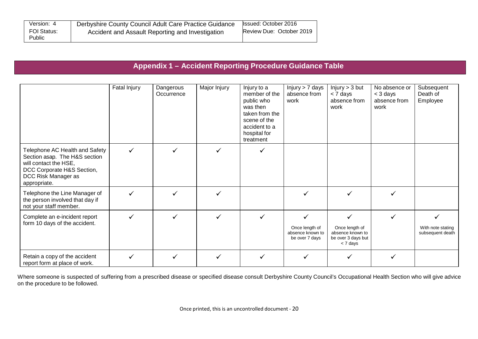| Version: 4            | Derbyshire County Council Adult Care Practice Guidance | <b>Issued: October 2016</b> |
|-----------------------|--------------------------------------------------------|-----------------------------|
| FOI Status:<br>Public | Accident and Assault Reporting and Investigation       | Review Due: October 2019    |

# **Appendix 1 – Accident Reporting Procedure Guidance Table**

|                                                                                                                                                               | Fatal Injury | Dangerous<br>Occurrence | Major Injury | Injury to a<br>member of the<br>public who<br>was then<br>taken from the<br>scene of the<br>accident to a<br>hospital for<br>treatment | Injury > 7 days<br>absence from<br>work              | Injury > 3 but<br>< 7 days<br>absence from<br>work                   | No absence or<br>$<$ 3 days<br>absence from<br>work | Subsequent<br>Death of<br>Employee    |
|---------------------------------------------------------------------------------------------------------------------------------------------------------------|--------------|-------------------------|--------------|----------------------------------------------------------------------------------------------------------------------------------------|------------------------------------------------------|----------------------------------------------------------------------|-----------------------------------------------------|---------------------------------------|
| Telephone AC Health and Safety<br>Section asap. The H&S section<br>will contact the HSE,<br>DCC Corporate H&S Section,<br>DCC Risk Manager as<br>appropriate. |              |                         | ✓            |                                                                                                                                        |                                                      |                                                                      |                                                     |                                       |
| Telephone the Line Manager of<br>the person involved that day if<br>not your staff member.                                                                    |              |                         |              |                                                                                                                                        |                                                      |                                                                      |                                                     |                                       |
| Complete an e-incident report<br>form 10 days of the accident.                                                                                                |              |                         |              |                                                                                                                                        | Once length of<br>absence known to<br>be over 7 days | Once length of<br>absence known to<br>be over 3 days but<br>< 7 days |                                                     | With note stating<br>subsequent death |
| Retain a copy of the accident<br>report form at place of work.                                                                                                |              |                         | ✓            |                                                                                                                                        |                                                      |                                                                      |                                                     |                                       |

Where someone is suspected of suffering from a prescribed disease or specified disease consult Derbyshire County Council's Occupational Health Section who will give advice on the procedure to be followed.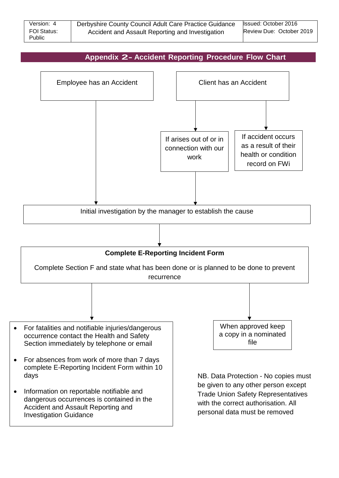| Version: 4                   | Derbyshire County Council Adult Care Practice Guidance | Issued: October 2016     |
|------------------------------|--------------------------------------------------------|--------------------------|
| <b>FOI Status:</b><br>Public | Accident and Assault Reporting and Investigation       | Review Due: October 2019 |

# **Appendix 2- Accident Reporting Procedure Flow Chart**

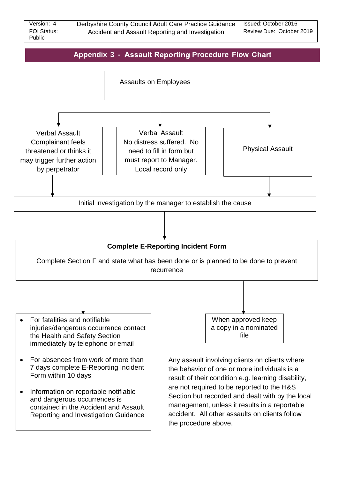| Version: 4                   | Derbyshire County Council Adult Care Practice Guidance | Issued: October 2016     |
|------------------------------|--------------------------------------------------------|--------------------------|
| FOI Status:<br><b>Public</b> | Accident and Assault Reporting and Investigation       | Review Due: October 2019 |

# **Appendix 3 - Assault Reporting Procedure Flow Chart**



• Information on reportable notifiable and dangerous occurrences is contained in the Accident and Assault Reporting and Investigation Guidance are not required to be reported to the H&S Section but recorded and dealt with by the local management, unless it results in a reportable accident. All other assaults on clients follow the procedure above.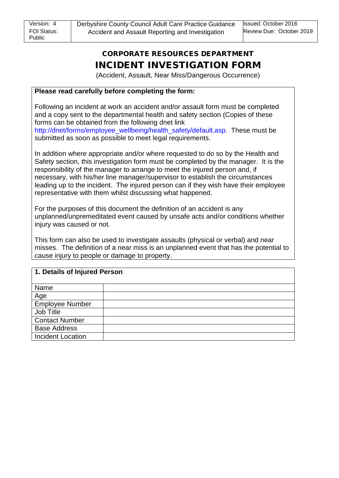# CORPORATE RESOURCES DEPARTMENT INCIDENT INVESTIGATION FORM

(Accident, Assault, Near Miss/Dangerous Occurrence)

## **Please read carefully before completing the form:**

Following an incident at work an accident and/or assault form must be completed and a copy sent to the departmental health and safety section (Copies of these forms can be obtained from the following dnet link http://dnet/forms/employee\_wellbeing/health\_safety/default.asp. These must be submitted as soon as possible to meet legal requirements.

In addition where appropriate and/or where requested to do so by the Health and Safety section, this investigation form must be completed by the manager. It is the responsibility of the manager to arrange to meet the injured person and, if necessary, with his/her line manager/supervisor to establish the circumstances leading up to the incident. The injured person can if they wish have their employee representative with them whilst discussing what happened.

For the purposes of this document the definition of an accident is any unplanned/unpremeditated event caused by unsafe acts and/or conditions whether injury was caused or not.

This form can also be used to investigate assaults (physical or verbal) and near misses. The definition of a near miss is an unplanned event that has the potential to cause injury to people or damage to property.

| 1. Details of Injured Person |  |  |  |  |
|------------------------------|--|--|--|--|
| Name                         |  |  |  |  |
| <u>Age</u>                   |  |  |  |  |
| Employee Number              |  |  |  |  |
| Job Title                    |  |  |  |  |
| <b>Contact Number</b>        |  |  |  |  |
| <b>Base Address</b>          |  |  |  |  |
| <b>Incident Location</b>     |  |  |  |  |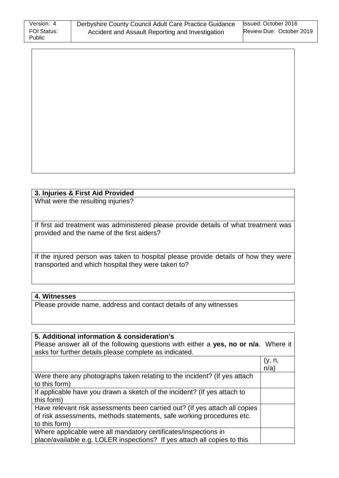| Version: 4                   | Derbyshire County Council Adult Care Practice Guidance | Issued: October 2016     |
|------------------------------|--------------------------------------------------------|--------------------------|
| <b>FOI Status:</b><br>Public | Accident and Assault Reporting and Investigation       | Review Due: October 2019 |

# **3. Injuries & First Aid Provided**

What were the resulting injuries?

If first aid treatment was administered please provide details of what treatment was provided and the name of the first aiders?

If the injured person was taken to hospital please provide details of how they were transported and which hospital they were taken to?

# **4. Witnesses**

Please provide name, address and contact details of any witnesses

| 5. Additional information & consideration's                                         |         |
|-------------------------------------------------------------------------------------|---------|
| Please answer all of the following questions with either a yes, no or n/a. Where it |         |
| asks for further details please complete as indicated.                              |         |
|                                                                                     | (y, n,  |
|                                                                                     | $n/a$ ) |
| Were there any photographs taken relating to the incident? (If yes attach           |         |
| to this form)                                                                       |         |
| If applicable have you drawn a sketch of the incident? (If yes attach to            |         |
| this form)                                                                          |         |
| Have relevant risk assessments been carried out? (If yes attach all copies          |         |
| of risk assessments, methods statements, safe working procedures etc.               |         |
| to this form)                                                                       |         |
| Where applicable were all mandatory certificates/inspections in                     |         |
| place/available e.g. LOLER inspections? If yes attach all copies to this            |         |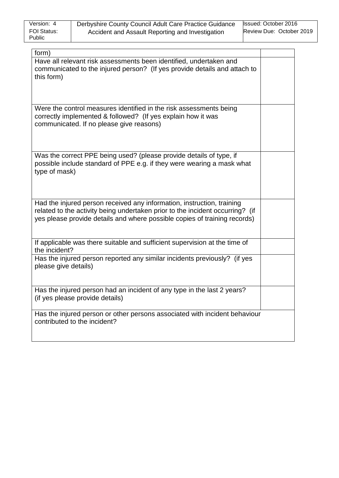| Version: 4                   | Derbyshire County Council Adult Care Practice Guidance | Issued: October 2016     |
|------------------------------|--------------------------------------------------------|--------------------------|
| <b>FOI Status:</b><br>Public | Accident and Assault Reporting and Investigation       | Review Due: October 2019 |

| form)                                                                                                                                                   |  |
|---------------------------------------------------------------------------------------------------------------------------------------------------------|--|
| Have all relevant risk assessments been identified, undertaken and<br>communicated to the injured person? (If yes provide details and attach to         |  |
| this form)                                                                                                                                              |  |
|                                                                                                                                                         |  |
| Were the control measures identified in the risk assessments being                                                                                      |  |
| correctly implemented & followed? (If yes explain how it was                                                                                            |  |
| communicated. If no please give reasons)                                                                                                                |  |
|                                                                                                                                                         |  |
| Was the correct PPE being used? (please provide details of type, if                                                                                     |  |
| possible include standard of PPE e.g. if they were wearing a mask what<br>type of mask)                                                                 |  |
|                                                                                                                                                         |  |
|                                                                                                                                                         |  |
| Had the injured person received any information, instruction, training<br>related to the activity being undertaken prior to the incident occurring? (if |  |
| yes please provide details and where possible copies of training records)                                                                               |  |
|                                                                                                                                                         |  |
| If applicable was there suitable and sufficient supervision at the time of<br>the incident?                                                             |  |
| Has the injured person reported any similar incidents previously? (if yes<br>please give details)                                                       |  |
|                                                                                                                                                         |  |
| Has the injured person had an incident of any type in the last 2 years?                                                                                 |  |
| (if yes please provide details)                                                                                                                         |  |
| Has the injured person or other persons associated with incident behaviour<br>contributed to the incident?                                              |  |
|                                                                                                                                                         |  |
|                                                                                                                                                         |  |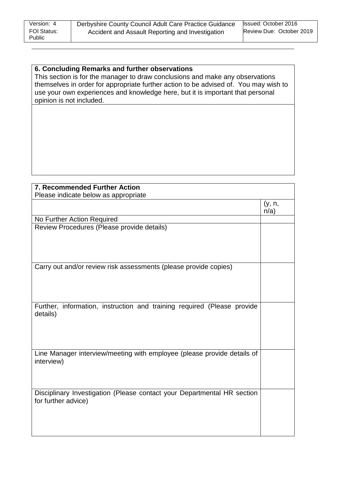# **6. Concluding Remarks and further observations**

This section is for the manager to draw conclusions and make any observations themselves in order for appropriate further action to be advised of. You may wish to use your own experiences and knowledge here, but it is important that personal opinion is not included.

| <b>7. Recommended Further Action</b>                                                           |                   |
|------------------------------------------------------------------------------------------------|-------------------|
| Please indicate below as appropriate                                                           |                   |
|                                                                                                | (y, n,<br>$n/a$ ) |
| No Further Action Required                                                                     |                   |
| Review Procedures (Please provide details)                                                     |                   |
| Carry out and/or review risk assessments (please provide copies)                               |                   |
| Further, information, instruction and training required (Please provide<br>details)            |                   |
| Line Manager interview/meeting with employee (please provide details of<br>interview)          |                   |
| Disciplinary Investigation (Please contact your Departmental HR section<br>for further advice) |                   |